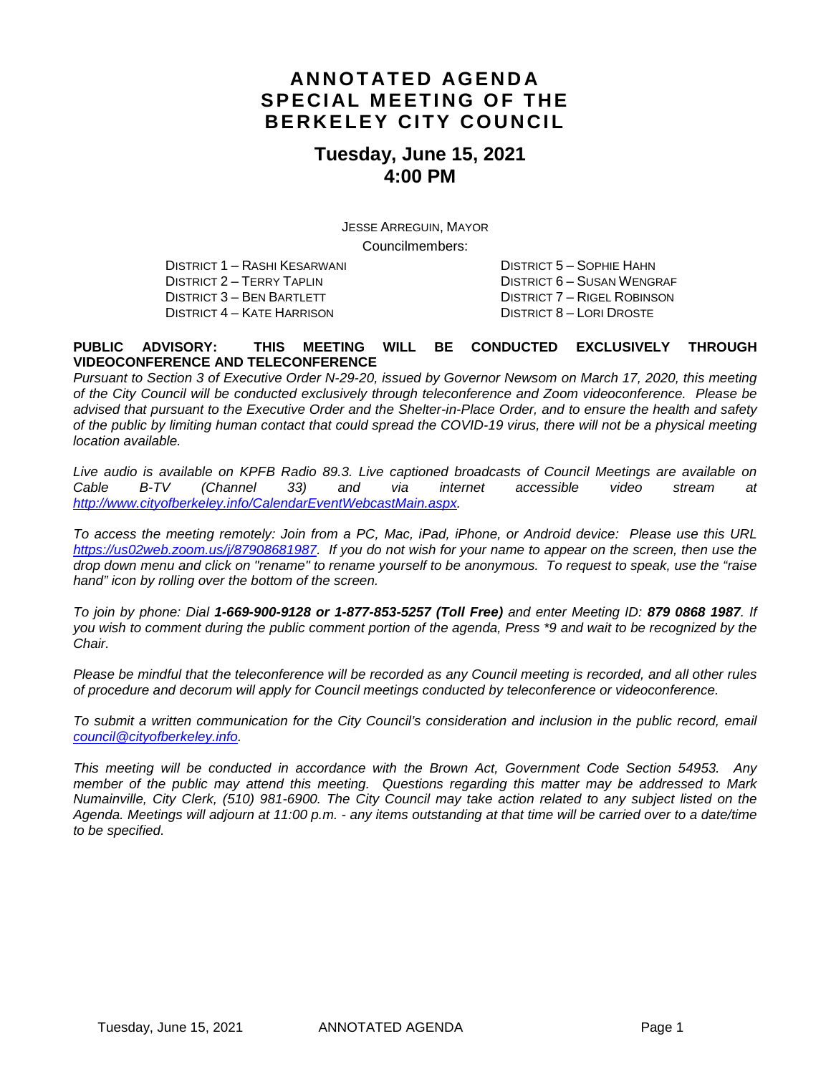## **ANNOTATED AGENDA SPECIAL MEETING OF THE BERKELEY CITY COUNCIL**

## **Tuesday, June 15, 2021 4:00 PM**

JESSE ARREGUIN, MAYOR Councilmembers:

DISTRICT 1 – RASHI KESARWANI DISTRICT 5 – SOPHIE HAHN DISTRICT 3 – BEN BARTLETT DISTRICT 7 – RIGEL ROBINSON DISTRICT 4 – KATE HARRISON DISTRICT 8 – LORI DROSTE

DISTRICT 6 – SUSAN WENGRAF

#### **PUBLIC ADVISORY: THIS MEETING WILL BE CONDUCTED EXCLUSIVELY THROUGH VIDEOCONFERENCE AND TELECONFERENCE**

*Pursuant to Section 3 of Executive Order N-29-20, issued by Governor Newsom on March 17, 2020, this meeting of the City Council will be conducted exclusively through teleconference and Zoom videoconference. Please be advised that pursuant to the Executive Order and the Shelter-in-Place Order, and to ensure the health and safety of the public by limiting human contact that could spread the COVID-19 virus, there will not be a physical meeting location available.* 

*Live audio is available on KPFB Radio 89.3. Live captioned broadcasts of Council Meetings are available on Cable B-TV (Channel 33) and via internet accessible video stream at [http://www.cityofberkeley.info/CalendarEventWebcastMain.aspx.](http://www.cityofberkeley.info/CalendarEventWebcastMain.aspx)*

*To access the meeting remotely: Join from a PC, Mac, iPad, iPhone, or Android device: Please use this URL [https://us02web.zoom.us/j/87908681987.](https://us02web.zoom.us/j/87908681987) If you do not wish for your name to appear on the screen, then use the drop down menu and click on "rename" to rename yourself to be anonymous. To request to speak, use the "raise hand" icon by rolling over the bottom of the screen.* 

*To join by phone: Dial 1-669-900-9128 or 1-877-853-5257 (Toll Free) and enter Meeting ID: 879 0868 1987. If you wish to comment during the public comment portion of the agenda, Press \*9 and wait to be recognized by the Chair.* 

*Please be mindful that the teleconference will be recorded as any Council meeting is recorded, and all other rules of procedure and decorum will apply for Council meetings conducted by teleconference or videoconference.*

*To submit a written communication for the City Council's consideration and inclusion in the public record, email [council@cityofberkeley.info.](mailto:council@cityofberkeley.info)*

*This meeting will be conducted in accordance with the Brown Act, Government Code Section 54953. Any member of the public may attend this meeting. Questions regarding this matter may be addressed to Mark Numainville, City Clerk, (510) 981-6900. The City Council may take action related to any subject listed on the Agenda. Meetings will adjourn at 11:00 p.m. - any items outstanding at that time will be carried over to a date/time to be specified.*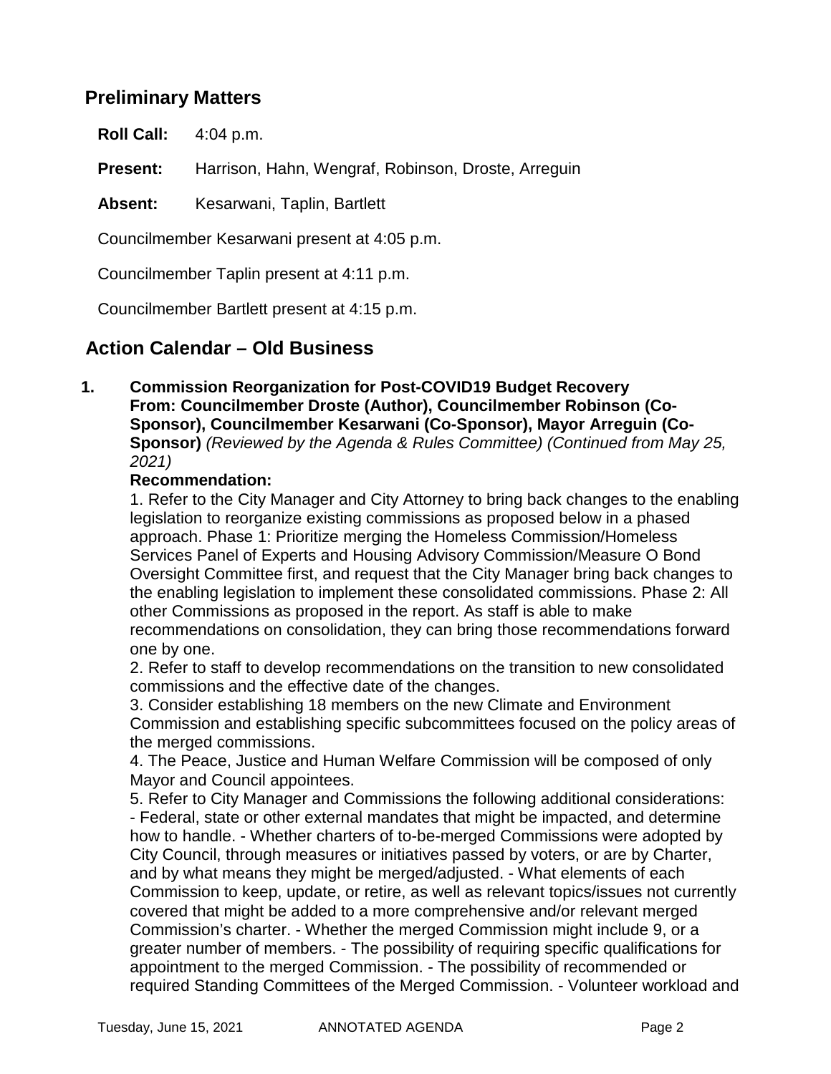#### **Preliminary Matters**

**Roll Call:** 4:04 p.m.

**Present:** Harrison, Hahn, Wengraf, Robinson, Droste, Arreguin

Absent: Kesarwani, Taplin, Bartlett

Councilmember Kesarwani present at 4:05 p.m.

Councilmember Taplin present at 4:11 p.m.

Councilmember Bartlett present at 4:15 p.m.

#### **Action Calendar – Old Business**

**1. Commission Reorganization for Post-COVID19 Budget Recovery From: Councilmember Droste (Author), Councilmember Robinson (Co-Sponsor), Councilmember Kesarwani (Co-Sponsor), Mayor Arreguin (Co-Sponsor)** *(Reviewed by the Agenda & Rules Committee) (Continued from May 25, 2021)*

#### **Recommendation:**

1. Refer to the City Manager and City Attorney to bring back changes to the enabling legislation to reorganize existing commissions as proposed below in a phased approach. Phase 1: Prioritize merging the Homeless Commission/Homeless Services Panel of Experts and Housing Advisory Commission/Measure O Bond Oversight Committee first, and request that the City Manager bring back changes to the enabling legislation to implement these consolidated commissions. Phase 2: All other Commissions as proposed in the report. As staff is able to make recommendations on consolidation, they can bring those recommendations forward one by one.

2. Refer to staff to develop recommendations on the transition to new consolidated commissions and the effective date of the changes.

3. Consider establishing 18 members on the new Climate and Environment Commission and establishing specific subcommittees focused on the policy areas of the merged commissions.

4. The Peace, Justice and Human Welfare Commission will be composed of only Mayor and Council appointees.

5. Refer to City Manager and Commissions the following additional considerations: - Federal, state or other external mandates that might be impacted, and determine how to handle. - Whether charters of to-be-merged Commissions were adopted by City Council, through measures or initiatives passed by voters, or are by Charter, and by what means they might be merged/adjusted. - What elements of each Commission to keep, update, or retire, as well as relevant topics/issues not currently covered that might be added to a more comprehensive and/or relevant merged Commission's charter. - Whether the merged Commission might include 9, or a greater number of members. - The possibility of requiring specific qualifications for appointment to the merged Commission. - The possibility of recommended or required Standing Committees of the Merged Commission. - Volunteer workload and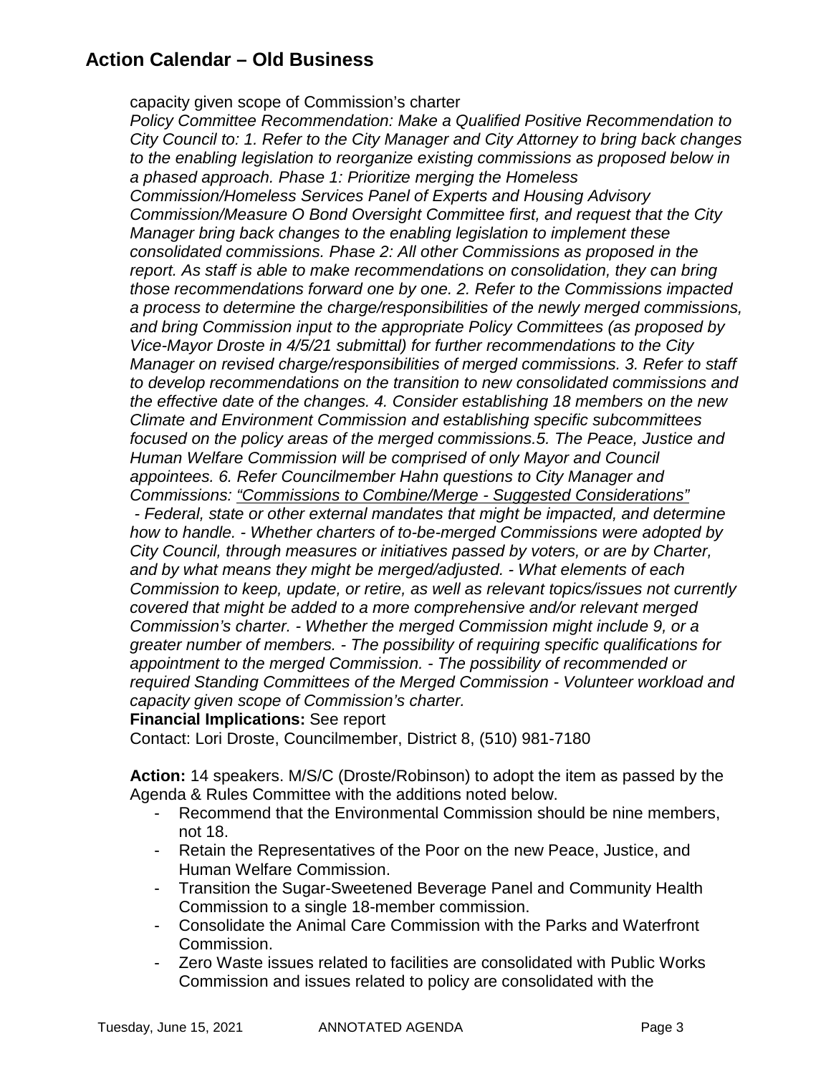# **Action Calendar – Old Business**

capacity given scope of Commission's charter

*Policy Committee Recommendation: Make a Qualified Positive Recommendation to City Council to: 1. Refer to the City Manager and City Attorney to bring back changes to the enabling legislation to reorganize existing commissions as proposed below in a phased approach. Phase 1: Prioritize merging the Homeless Commission/Homeless Services Panel of Experts and Housing Advisory Commission/Measure O Bond Oversight Committee first, and request that the City Manager bring back changes to the enabling legislation to implement these consolidated commissions. Phase 2: All other Commissions as proposed in the report. As staff is able to make recommendations on consolidation, they can bring those recommendations forward one by one. 2. Refer to the Commissions impacted a process to determine the charge/responsibilities of the newly merged commissions, and bring Commission input to the appropriate Policy Committees (as proposed by Vice-Mayor Droste in 4/5/21 submittal) for further recommendations to the City Manager on revised charge/responsibilities of merged commissions. 3. Refer to staff to develop recommendations on the transition to new consolidated commissions and the effective date of the changes. 4. Consider establishing 18 members on the new Climate and Environment Commission and establishing specific subcommittees focused on the policy areas of the merged commissions.5. The Peace, Justice and Human Welfare Commission will be comprised of only Mayor and Council appointees. 6. Refer Councilmember Hahn questions to City Manager and Commissions: "Commissions to Combine/Merge - Suggested Considerations" - Federal, state or other external mandates that might be impacted, and determine how to handle. - Whether charters of to-be-merged Commissions were adopted by City Council, through measures or initiatives passed by voters, or are by Charter, and by what means they might be merged/adjusted. - What elements of each* 

*Commission to keep, update, or retire, as well as relevant topics/issues not currently covered that might be added to a more comprehensive and/or relevant merged Commission's charter. - Whether the merged Commission might include 9, or a greater number of members. - The possibility of requiring specific qualifications for appointment to the merged Commission. - The possibility of recommended or required Standing Committees of the Merged Commission - Volunteer workload and capacity given scope of Commission's charter.*

**Financial Implications:** See report

Contact: Lori Droste, Councilmember, District 8, (510) 981-7180

**Action:** 14 speakers. M/S/C (Droste/Robinson) to adopt the item as passed by the Agenda & Rules Committee with the additions noted below.

- Recommend that the Environmental Commission should be nine members, not 18.
- Retain the Representatives of the Poor on the new Peace, Justice, and Human Welfare Commission.
- Transition the Sugar-Sweetened Beverage Panel and Community Health Commission to a single 18-member commission.
- Consolidate the Animal Care Commission with the Parks and Waterfront Commission.
- Zero Waste issues related to facilities are consolidated with Public Works Commission and issues related to policy are consolidated with the